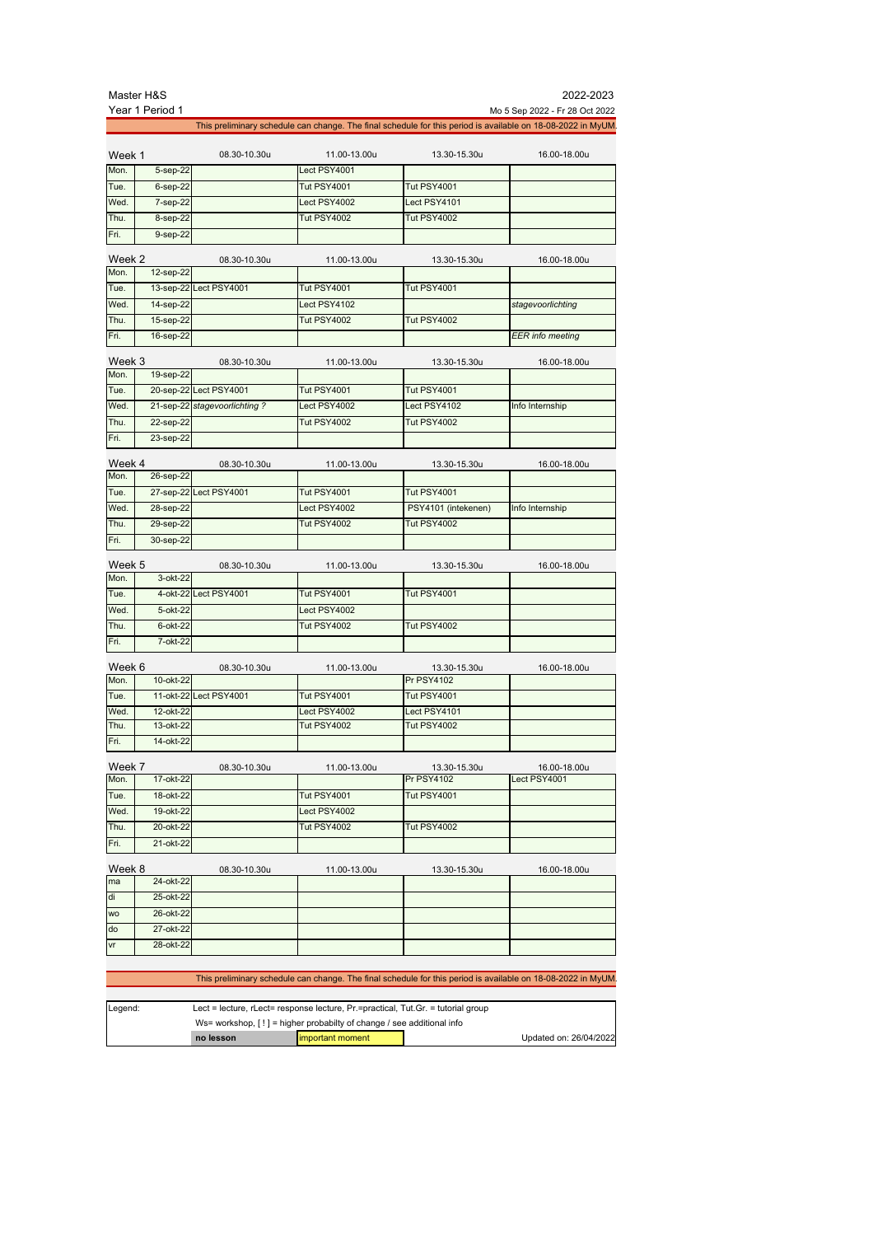|                | Master H&S      |                              |                    |                     | 2022-2023                                                                                                    |
|----------------|-----------------|------------------------------|--------------------|---------------------|--------------------------------------------------------------------------------------------------------------|
|                | Year 1 Period 1 |                              |                    |                     | Mo 5 Sep 2022 - Fr 28 Oct 2022                                                                               |
|                |                 |                              |                    |                     | This preliminary schedule can change. The final schedule for this period is available on 18-08-2022 in MyUM. |
| Week 1         |                 | 08.30-10.30u                 | 11.00-13.00u       | 13.30-15.30u        | 16.00-18.00u                                                                                                 |
| Mon.           | 5-sep-22        |                              | Lect PSY4001       |                     |                                                                                                              |
| Tue.           | $6$ -sep-22     |                              | <b>Tut PSY4001</b> | <b>Tut PSY4001</b>  |                                                                                                              |
| Wed.           | 7-sep-22        |                              | Lect PSY4002       | Lect PSY4101        |                                                                                                              |
| Thu.           | 8-sep-22        |                              | <b>Tut PSY4002</b> | <b>Tut PSY4002</b>  |                                                                                                              |
| Fri.           | 9-sep-22        |                              |                    |                     |                                                                                                              |
| Week 2         |                 | 08.30-10.30u                 | 11.00-13.00u       | 13.30-15.30u        | 16.00-18.00u                                                                                                 |
| Mon.           | 12-sep-22       |                              |                    |                     |                                                                                                              |
| Tue.           |                 | 13-sep-22 Lect PSY4001       | <b>Tut PSY4001</b> | <b>Tut PSY4001</b>  |                                                                                                              |
| Wed.           | 14-sep-22       |                              | Lect PSY4102       |                     | stagevoorlichting                                                                                            |
| Thu.           | 15-sep-22       |                              | <b>Tut PSY4002</b> | <b>Tut PSY4002</b>  |                                                                                                              |
| Fri.           | 16-sep-22       |                              |                    |                     | <b>EER</b> info meeting                                                                                      |
| Week 3<br>Mon. |                 | 08.30-10.30u                 | 11.00-13.00u       | 13.30-15.30u        | 16.00-18.00u                                                                                                 |
|                | 19-sep-22       |                              |                    |                     |                                                                                                              |
| Tue.           |                 | 20-sep-22 Lect PSY4001       | <b>Tut PSY4001</b> | <b>Tut PSY4001</b>  |                                                                                                              |
| Wed.           |                 | 21-sep-22 stagevoorlichting? | Lect PSY4002       | Lect PSY4102        | Info Internship                                                                                              |
| Thu.           | 22-sep-22       |                              | Tut PSY4002        | <b>Tut PSY4002</b>  |                                                                                                              |
| Fri.           | 23-sep-22       |                              |                    |                     |                                                                                                              |
| Week 4         |                 | 08.30-10.30u                 | 11.00-13.00u       | 13.30-15.30u        | 16.00-18.00u                                                                                                 |
| Mon.           | 26-sep-22       |                              |                    |                     |                                                                                                              |
| Tue.           |                 | 27-sep-22 Lect PSY4001       | <b>Tut PSY4001</b> | <b>Tut PSY4001</b>  |                                                                                                              |
| Wed.           | 28-sep-22       |                              | Lect PSY4002       | PSY4101 (intekenen) | Info Internship                                                                                              |
| Thu.           | 29-sep-22       |                              | <b>Tut PSY4002</b> | <b>Tut PSY4002</b>  |                                                                                                              |
| Fri.           | 30-sep-22       |                              |                    |                     |                                                                                                              |
| Week 5         |                 |                              |                    |                     |                                                                                                              |
| Mon.           | 3-okt-22        | 08.30-10.30u                 | 11.00-13.00u       | 13.30-15.30u        | 16.00-18.00u                                                                                                 |
| Tue.           |                 | 4-okt-22 Lect PSY4001        | <b>Tut PSY4001</b> | <b>Tut PSY4001</b>  |                                                                                                              |
| Wed.           | 5-okt-22        |                              | Lect PSY4002       |                     |                                                                                                              |
| Thu.           | 6-okt-22        |                              | <b>Tut PSY4002</b> | <b>Tut PSY4002</b>  |                                                                                                              |
| Fri.           | 7-okt-22        |                              |                    |                     |                                                                                                              |
|                |                 |                              |                    |                     |                                                                                                              |
| Week 6         |                 | 08.30-10.30u                 | 11.00-13.00u       | 13.30-15.30u        | 16.00-18.00u                                                                                                 |
| Mon.           | 10-okt-22       |                              |                    | <b>Pr PSY4102</b>   |                                                                                                              |
| Tue.           |                 | 11-okt-22 Lect PSY4001       | <b>Tut PSY4001</b> | <b>Tut PSY4001</b>  |                                                                                                              |
| Wed.           | 12-okt-22       |                              | Lect PSY4002       | Lect PSY4101        |                                                                                                              |
| Thu.           | 13-okt-22       |                              | <b>Tut PSY4002</b> | <b>Tut PSY4002</b>  |                                                                                                              |
| Fri.           | 14-okt-22       |                              |                    |                     |                                                                                                              |
| Week 7         |                 | 08.30-10.30u                 | 11.00-13.00u       | 13.30-15.30u        | 16.00-18.00u                                                                                                 |
| Mon.           | 17-okt-22       |                              |                    | <b>Pr PSY4102</b>   | Lect PSY4001                                                                                                 |
| Tue.           | 18-okt-22       |                              | Tut PSY4001        | <b>Tut PSY4001</b>  |                                                                                                              |
| Wed.           | 19-okt-22       |                              | Lect PSY4002       |                     |                                                                                                              |
| Thu.           | 20-okt-22       |                              | <b>Tut PSY4002</b> | <b>Tut PSY4002</b>  |                                                                                                              |
| Fri.           | 21-okt-22       |                              |                    |                     |                                                                                                              |
| Week 8         |                 | 08.30-10.30u                 | 11.00-13.00u       | 13.30-15.30u        | 16.00-18.00u                                                                                                 |
| ma             | 24-okt-22       |                              |                    |                     |                                                                                                              |
| di             | 25-okt-22       |                              |                    |                     |                                                                                                              |
| <b>WO</b>      | 26-okt-22       |                              |                    |                     |                                                                                                              |
| do             | 27-okt-22       |                              |                    |                     |                                                                                                              |
| vr             | 28-okt-22       |                              |                    |                     |                                                                                                              |
|                |                 |                              |                    |                     |                                                                                                              |

## This preliminary schedule can change. The final schedule for this period is available on 18-08-2022 in MyUM.

| Legend: | Lect = lecture, rLect= response lecture, $Pr =$ practical, Tut.Gr. = tutorial group |  |  |  |
|---------|-------------------------------------------------------------------------------------|--|--|--|
|         | Ws= workshop, [!] = higher probabilty of change / see additional info               |  |  |  |
|         | Updated on: 26/04/2022<br>limportant moment<br>no lesson                            |  |  |  |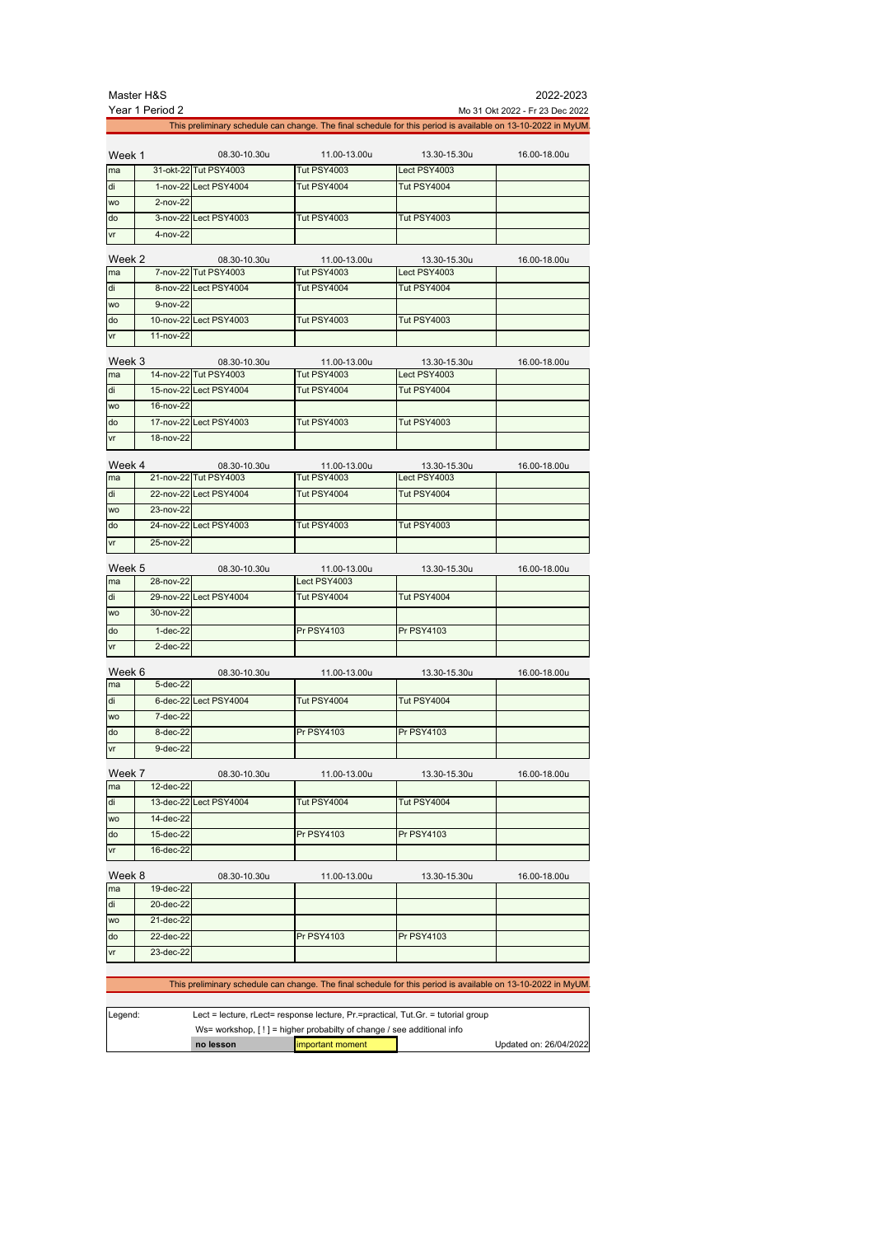|        | Master H&S      |                        |                    |                                                                                                              | 2022-2023                       |
|--------|-----------------|------------------------|--------------------|--------------------------------------------------------------------------------------------------------------|---------------------------------|
|        | Year 1 Period 2 |                        |                    |                                                                                                              | Mo 31 Okt 2022 - Fr 23 Dec 2022 |
|        |                 |                        |                    | This preliminary schedule can change. The final schedule for this period is available on 13-10-2022 in MyUM. |                                 |
|        |                 |                        |                    |                                                                                                              |                                 |
| Week 1 |                 | 08.30-10.30u           | 11.00-13.00u       | 13.30-15.30u                                                                                                 | 16.00-18.00u                    |
| ma     |                 | 31-okt-22 Tut PSY4003  | <b>Tut PSY4003</b> | Lect PSY4003                                                                                                 |                                 |
| di     |                 | 1-nov-22 Lect PSY4004  | Tut PSY4004        | Tut PSY4004                                                                                                  |                                 |
| wo     | $2-nov-22$      |                        |                    |                                                                                                              |                                 |
| do     |                 | 3-nov-22 Lect PSY4003  | <b>Tut PSY4003</b> | <b>Tut PSY4003</b>                                                                                           |                                 |
| vr     | $4 - nov-22$    |                        |                    |                                                                                                              |                                 |
| Week 2 |                 | 08.30-10.30u           | 11.00-13.00u       | 13.30-15.30u                                                                                                 | 16.00-18.00u                    |
| ma     |                 | 7-nov-22 Tut PSY4003   | <b>Tut PSY4003</b> | Lect PSY4003                                                                                                 |                                 |
|        |                 |                        |                    |                                                                                                              |                                 |
| di     |                 | 8-nov-22 Lect PSY4004  | <b>Tut PSY4004</b> | Tut PSY4004                                                                                                  |                                 |
| wo     | $9 - nov-22$    |                        |                    |                                                                                                              |                                 |
| do     |                 | 10-nov-22 Lect PSY4003 | <b>Tut PSY4003</b> | <b>Tut PSY4003</b>                                                                                           |                                 |
| vr     | 11-nov-22       |                        |                    |                                                                                                              |                                 |
| Week 3 |                 | 08.30-10.30u           | 11.00-13.00u       | 13.30-15.30u                                                                                                 | 16.00-18.00u                    |
| ma     |                 | 14-nov-22 Tut PSY4003  | <b>Tut PSY4003</b> | Lect PSY4003                                                                                                 |                                 |

|           |           | $1 + 110 + 2211$ at $0 - 17000$ | 1 YU H J J J J J J J J | <b>LUULIUITUUU</b> |  |
|-----------|-----------|---------------------------------|------------------------|--------------------|--|
| di        |           | 15-nov-22 Lect PSY4004          | Tut PSY4004            | Tut PSY4004        |  |
| <b>WO</b> | 16-nov-22 |                                 |                        |                    |  |
| do        |           | 17-nov-22 Lect PSY4003          | <b>Tut PSY4003</b>     | Tut PSY4003        |  |
| vr        | 18-nov-22 |                                 |                        |                    |  |

| Week 4    |                 | 08.30-10.30u           | 11.00-13.00u       | 13.30-15.30u       | 16.00-18.00u |
|-----------|-----------------|------------------------|--------------------|--------------------|--------------|
| ma        |                 | 21-nov-22 Tut PSY4003  | <b>Tut PSY4003</b> | Lect PSY4003       |              |
| ldi       |                 | 22-nov-22 Lect PSY4004 | <b>Tut PSY4004</b> | Tut PSY4004        |              |
| <b>WO</b> | $23 - nov - 22$ |                        |                    |                    |              |
| do        |                 | 24-nov-22 Lect PSY4003 | <b>Tut PSY4003</b> | <b>Tut PSY4003</b> |              |
| <b>Vr</b> | 25-nov-22       |                        |                    |                    |              |

| Week 5    |            | 08.30-10.30u           | 11.00-13.00u       | 13.30-15.30u      | 16.00-18.00u |
|-----------|------------|------------------------|--------------------|-------------------|--------------|
| ma        | 28-nov-22  |                        | Lect PSY4003       |                   |              |
| di        |            | 29-nov-22 Lect PSY4004 | <b>Tut PSY4004</b> | Tut PSY4004       |              |
| <b>WO</b> | 30-nov-22  |                        |                    |                   |              |
| do        | $1-dec-22$ |                        | <b>Pr PSY4103</b>  | <b>Pr PSY4103</b> |              |
| <b>Vr</b> | $2-dec-22$ |                        |                    |                   |              |

| Week 6    |              | 08.30-10.30u          | 11.00-13.00u       | 13.30-15.30u      | 16.00-18.00u |
|-----------|--------------|-----------------------|--------------------|-------------------|--------------|
| ma        | $5-dec-22$   |                       |                    |                   |              |
| ldi       |              | 6-dec-22 Lect PSY4004 | <b>Tut PSY4004</b> | Tut PSY4004       |              |
| <b>WO</b> | $7 - dec-22$ |                       |                    |                   |              |
| do        | $8-dec-22$   |                       | <b>Pr PSY4103</b>  | <b>Pr PSY4103</b> |              |
| <b>vr</b> | $9-dec-22$   |                       |                    |                   |              |

| Week 7    |             | 08.30-10.30u           | 11.00-13.00u      | 13.30-15.30u      | 16.00-18.00u |
|-----------|-------------|------------------------|-------------------|-------------------|--------------|
| ma        | 12-dec-22   |                        |                   |                   |              |
| di        |             | 13-dec-22 Lect PSY4004 | Tut PSY4004       | Tut PSY4004       |              |
| <b>WO</b> | 14-dec-22   |                        |                   |                   |              |
| do        | 15-dec-22   |                        | <b>Pr PSY4103</b> | <b>Pr PSY4103</b> |              |
| vr        | 16-dec-22   |                        |                   |                   |              |
| Week 8    |             | 08.30-10.30u           | 11.00-13.00u      | 13.30-15.30u      | 16.00-18.00u |
| ma        | $19-dec-22$ |                        |                   |                   |              |
| di        | 20-dec-22   |                        |                   |                   |              |

wo 21-dec-22

vr 23-dec-22

| This preliminary schedule can change. The final schedule for this period is available on 13-10-2022 in MyUM. |
|--------------------------------------------------------------------------------------------------------------|

| Legend: | Lect = lecture, rLect= response lecture, Pr.=practical, Tut.Gr. = tutorial group |  |  |  |
|---------|----------------------------------------------------------------------------------|--|--|--|
|         | Ws= workshop, $[!]$ = higher probabilty of change / see additional info          |  |  |  |
|         | Updated on: 26/04/2022<br><b>limportant moment</b><br>no lesson                  |  |  |  |

do 22-dec-22 Pr PSY4103 Pr PSY4103